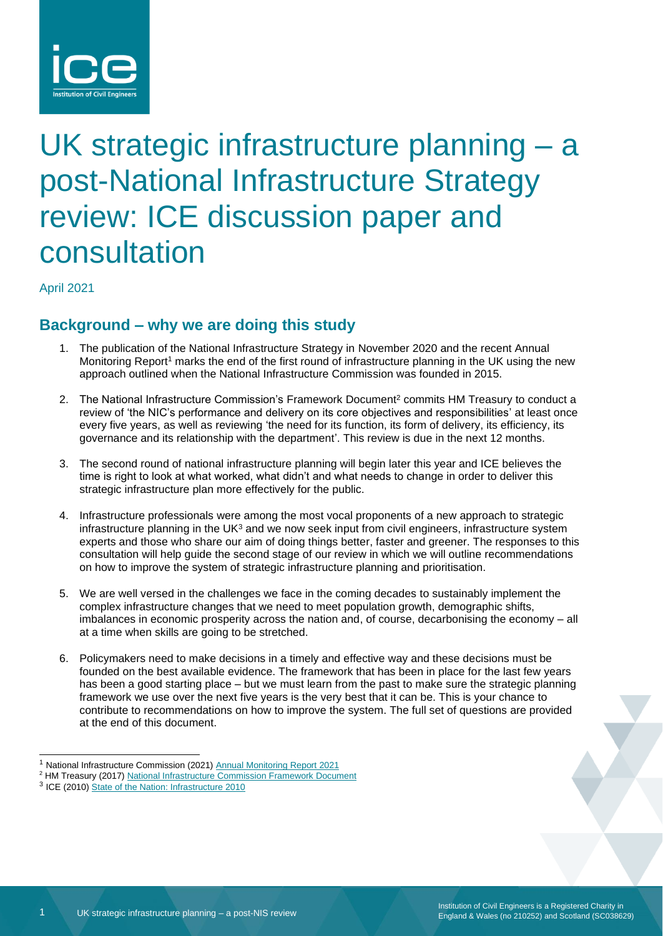

# UK strategic infrastructure planning – a post-National Infrastructure Strategy review: ICE discussion paper and consultation

April 2021

# **Background – why we are doing this study**

- 1. The publication of the National Infrastructure Strategy in November 2020 and the recent Annual Monitoring Report<sup>1</sup> marks the end of the first round of infrastructure planning in the UK using the new approach outlined when the National Infrastructure Commission was founded in 2015.
- 2. The National Infrastructure Commission's Framework Document<sup>2</sup> commits HM Treasury to conduct a review of 'the NIC's performance and delivery on its core objectives and responsibilities' at least once every five years, as well as reviewing 'the need for its function, its form of delivery, its efficiency, its governance and its relationship with the department'. This review is due in the next 12 months.
- 3. The second round of national infrastructure planning will begin later this year and ICE believes the time is right to look at what worked, what didn't and what needs to change in order to deliver this strategic infrastructure plan more effectively for the public.
- 4. Infrastructure professionals were among the most vocal proponents of a new approach to strategic infrastructure planning in the UK $3$  and we now seek input from civil engineers, infrastructure system experts and those who share our aim of doing things better, faster and greener. The responses to this consultation will help guide the second stage of our review in which we will outline recommendations on how to improve the system of strategic infrastructure planning and prioritisation.
- 5. We are well versed in the challenges we face in the coming decades to sustainably implement the complex infrastructure changes that we need to meet population growth, demographic shifts, imbalances in economic prosperity across the nation and, of course, decarbonising the economy – all at a time when skills are going to be stretched.
- 6. Policymakers need to make decisions in a timely and effective way and these decisions must be founded on the best available evidence. The framework that has been in place for the last few years has been a good starting place – but we must learn from the past to make sure the strategic planning framework we use over the next five years is the very best that it can be. This is your chance to contribute to recommendations on how to improve the system. The full set of questions are provided at the end of this document.

<sup>&</sup>lt;sup>1</sup> National Infrastructure Commission (2021) [Annual Monitoring Report 2021](https://nic.org.uk/studies-reports/annual-monitoring-report-2021/)

<sup>&</sup>lt;sup>2</sup> HM Treasury (2017) [National Infrastructure Commission Framework Document](https://assets.publishing.service.gov.uk/government/uploads/system/uploads/attachment_data/file/585374/NIC_framework_document_web.pdf)

<sup>&</sup>lt;sup>3</sup> ICE (2010[\) State of the Nation:](https://www.ice.org.uk/news-and-insight/policy/state-of-the-nation-infrastructure-2010) Infrastructure 2010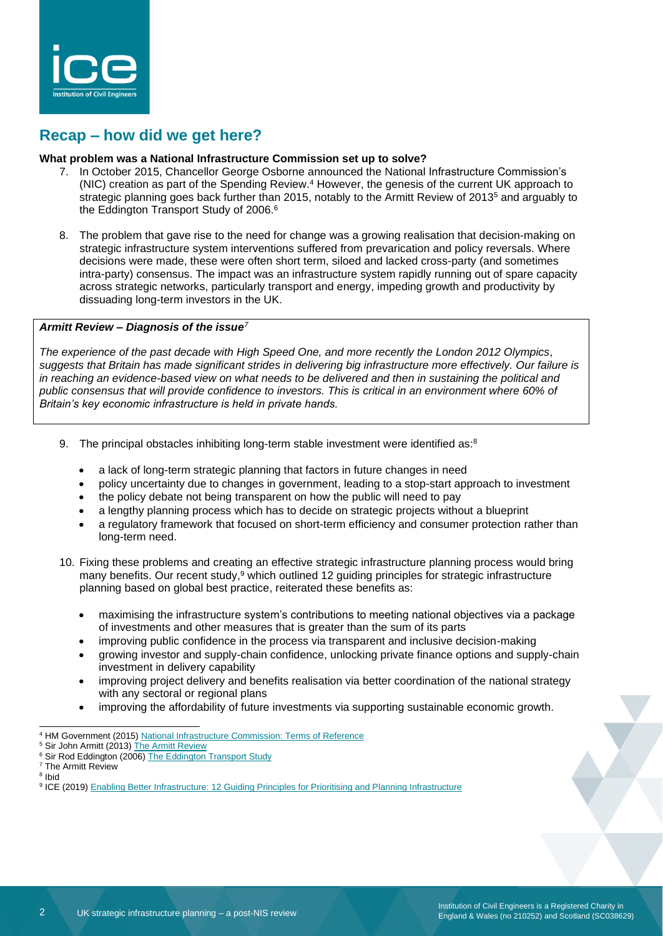

## **Recap – how did we get here?**

#### **What problem was a National Infrastructure Commission set up to solve?**

- 7. In October 2015, Chancellor George Osborne announced the National Infrastructure Commission's (NIC) creation as part of the Spending Review. <sup>4</sup> However, the genesis of the current UK approach to strategic planning goes back further than 2015, notably to the Armitt Review of 2013<sup>5</sup> and arguably to the Eddington Transport Study of 2006.<sup>6</sup>
- 8. The problem that gave rise to the need for change was a growing realisation that decision-making on strategic infrastructure system interventions suffered from prevarication and policy reversals. Where decisions were made, these were often short term, siloed and lacked cross-party (and sometimes intra-party) consensus. The impact was an infrastructure system rapidly running out of spare capacity across strategic networks, particularly transport and energy, impeding growth and productivity by dissuading long-term investors in the UK.

#### *Armitt Review – Diagnosis of the issue<sup>7</sup>*

*The experience of the past decade with High Speed One, and more recently the London 2012 Olympics, suggests that Britain has made significant strides in delivering big infrastructure more effectively. Our failure is in reaching an evidence-based view on what needs to be delivered and then in sustaining the political and public consensus that will provide confidence to investors. This is critical in an environment where 60% of Britain's key economic infrastructure is held in private hands.*

- 9. The principal obstacles inhibiting long-term stable investment were identified as: $8$ 
	- a lack of long-term strategic planning that factors in future changes in need
	- policy uncertainty due to changes in government, leading to a stop-start approach to investment
	- the policy debate not being transparent on how the public will need to pay
	- a lengthy planning process which has to decide on strategic projects without a blueprint
	- a regulatory framework that focused on short-term efficiency and consumer protection rather than long-term need.
- 10. Fixing these problems and creating an effective strategic infrastructure planning process would bring many benefits. Our recent study,<sup>9</sup> which outlined 12 guiding principles for strategic infrastructure planning based on global best practice, reiterated these benefits as:
	- maximising the infrastructure system's contributions to meeting national objectives via a package of investments and other measures that is greater than the sum of its parts
	- improving public confidence in the process via transparent and inclusive decision-making
	- growing investor and supply-chain confidence, unlocking private finance options and supply-chain investment in delivery capability
	- improving project delivery and benefits realisation via better coordination of the national strategy with any sectoral or regional plans
	- improving the affordability of future investments via supporting sustainable economic growth.
- <sup>4</sup> HM Government (2015[\) National Infrastructure Commission: Terms of Reference](https://www.gov.uk/government/publications/national-infrastructure-commission-terms-of-reference)
- <sup>5</sup> Sir John Armitt (2013[\) The Armitt Review](https://www.policyforum.labour.org.uk/uploads/editor/files/The_Armitt_Review_Final_Report.pdf)

<sup>&</sup>lt;sup>6</sup> Sir Rod Eddington (2006) [The Eddington Transport Study](https://webarchive.nationalarchives.gov.uk/20081230093524/http:/www.dft.gov.uk/about/strategy/transportstrategy/eddingtonstudy/)

<sup>7</sup> The Armitt Review

<sup>8</sup> Ibid

<sup>&</sup>lt;sup>9</sup> ICE (2019[\) Enabling Better Infrastructure: 12 Guiding Principles for Prioritising and Planning Infrastructure](https://www.ice.org.uk/ICEDevelopmentWebPortal/media/Documents/Media/ice-enabling-better-infrastructure-report.pdf)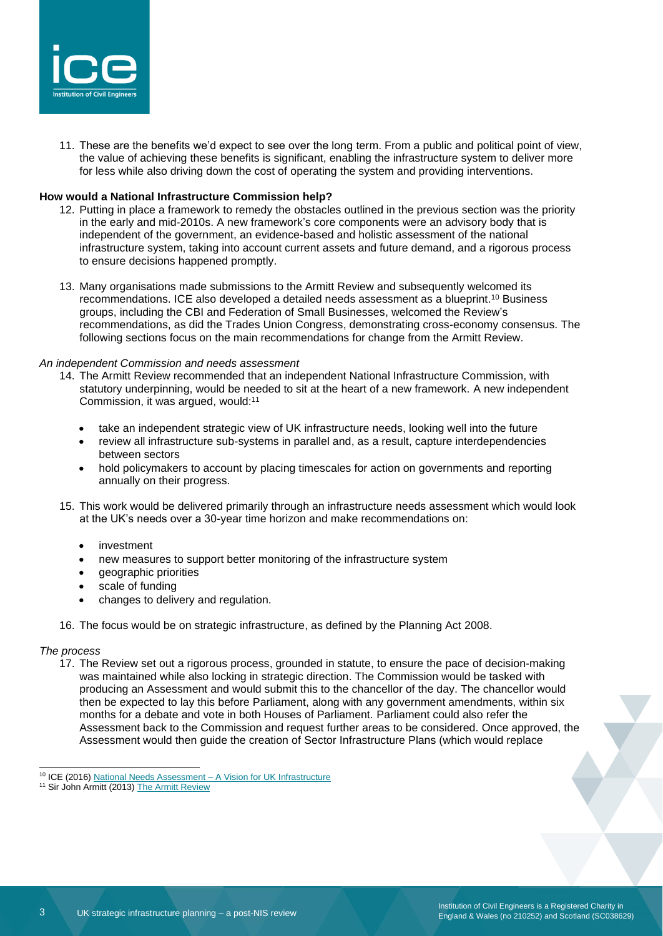

11. These are the benefits we'd expect to see over the long term. From a public and political point of view, the value of achieving these benefits is significant, enabling the infrastructure system to deliver more for less while also driving down the cost of operating the system and providing interventions.

#### **How would a National Infrastructure Commission help?**

- 12. Putting in place a framework to remedy the obstacles outlined in the previous section was the priority in the early and mid-2010s. A new framework's core components were an advisory body that is independent of the government, an evidence-based and holistic assessment of the national infrastructure system, taking into account current assets and future demand, and a rigorous process to ensure decisions happened promptly.
- 13. Many organisations made submissions to the Armitt Review and subsequently welcomed its recommendations. ICE also developed a detailed needs assessment as a blueprint. <sup>10</sup> Business groups, including the CBI and Federation of Small Businesses, welcomed the Review's recommendations, as did the Trades Union Congress, demonstrating cross-economy consensus. The following sections focus on the main recommendations for change from the Armitt Review.

#### *An independent Commission and needs assessment*

- 14. The Armitt Review recommended that an independent National Infrastructure Commission, with statutory underpinning, would be needed to sit at the heart of a new framework. A new independent Commission, it was argued, would: 11
	- take an independent strategic view of UK infrastructure needs, looking well into the future
	- review all infrastructure sub-systems in parallel and, as a result, capture interdependencies between sectors
	- hold policymakers to account by placing timescales for action on governments and reporting annually on their progress.
- 15. This work would be delivered primarily through an infrastructure needs assessment which would look at the UK's needs over a 30-year time horizon and make recommendations on:
	- investment
	- new measures to support better monitoring of the infrastructure system
	- geographic priorities
	- scale of funding
	- changes to delivery and regulation.
- 16. The focus would be on strategic infrastructure, as defined by the Planning Act 2008.

#### *The process*

17. The Review set out a rigorous process, grounded in statute, to ensure the pace of decision-making was maintained while also locking in strategic direction. The Commission would be tasked with producing an Assessment and would submit this to the chancellor of the day. The chancellor would then be expected to lay this before Parliament, along with any government amendments, within six months for a debate and vote in both Houses of Parliament. Parliament could also refer the Assessment back to the Commission and request further areas to be considered. Once approved, the Assessment would then guide the creation of Sector Infrastructure Plans (which would replace

<sup>10</sup> ICE (2016) [National Needs Assessment –](https://www.ice.org.uk/news-and-insight/policy/national-needs-assessment-a-vision-for-uk-infrastr) A Vision for UK Infrastructure

<sup>&</sup>lt;sup>11</sup> Sir John Armitt (2013) [The Armitt Review](https://www.policyforum.labour.org.uk/uploads/editor/files/The_Armitt_Review_Final_Report.pdf)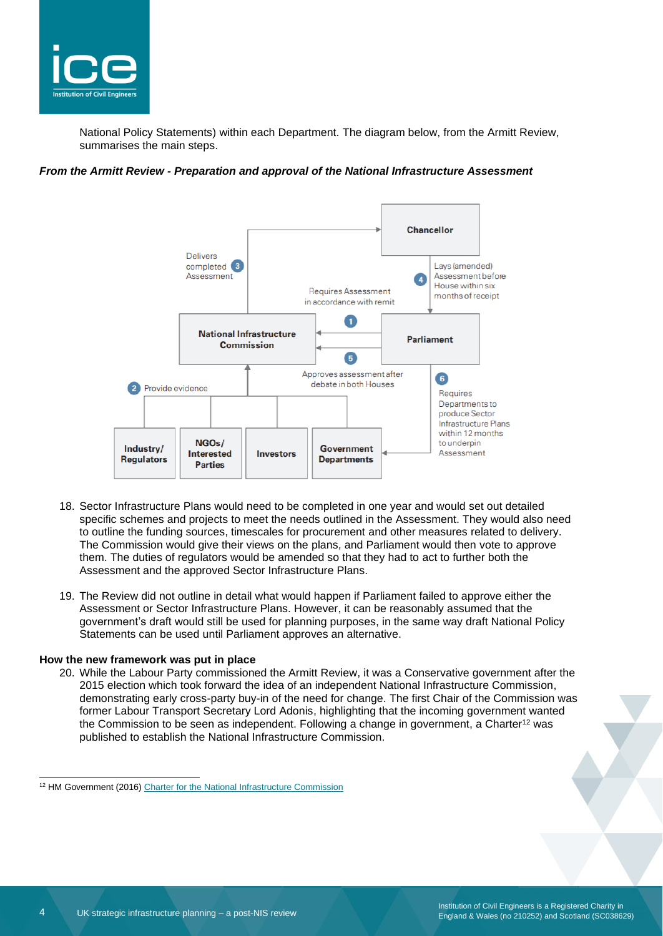

National Policy Statements) within each Department. The diagram below, from the Armitt Review, summarises the main steps.

#### *From the Armitt Review - Preparation and approval of the National Infrastructure Assessment*



- 18. Sector Infrastructure Plans would need to be completed in one year and would set out detailed specific schemes and projects to meet the needs outlined in the Assessment. They would also need to outline the funding sources, timescales for procurement and other measures related to delivery. The Commission would give their views on the plans, and Parliament would then vote to approve them. The duties of regulators would be amended so that they had to act to further both the Assessment and the approved Sector Infrastructure Plans.
- 19. The Review did not outline in detail what would happen if Parliament failed to approve either the Assessment or Sector Infrastructure Plans. However, it can be reasonably assumed that the government's draft would still be used for planning purposes, in the same way draft National Policy Statements can be used until Parliament approves an alternative.

#### **How the new framework was put in place**

20. While the Labour Party commissioned the Armitt Review, it was a Conservative government after the 2015 election which took forward the idea of an independent National Infrastructure Commission, demonstrating early cross-party buy-in of the need for change. The first Chair of the Commission was former Labour Transport Secretary Lord Adonis, highlighting that the incoming government wanted the Commission to be seen as independent. Following a change in government, a Charter<sup>12</sup> was published to establish the National Infrastructure Commission.

<sup>&</sup>lt;sup>12</sup> HM Government (2016[\) Charter for the National Infrastructure Commission](https://www.gov.uk/government/publications/charter-for-the-national-infrastructure-commission#:~:text=The%20Charter%20articulates%20the%20government)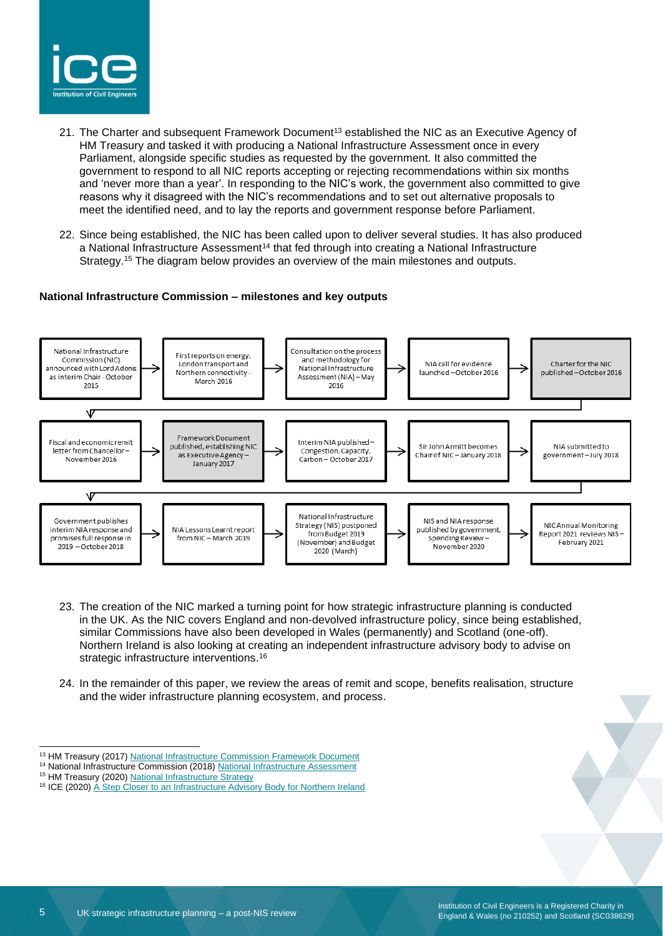

- 21. The Charter and subsequent Framework Document<sup>13</sup> established the NIC as an Executive Agency of HM Treasury and tasked it with producing a National Infrastructure Assessment once in every Parliament, alongside specific studies as requested by the government. It also committed the government to respond to all NIC reports accepting or rejecting recommendations within six months and 'never more than a year'. In responding to the NIC's work, the government also committed to give reasons why it disagreed with the NIC's recommendations and to set out alternative proposals to meet the identified need, and to lay the reports and government response before Parliament.
- 22. Since being established, the NIC has been called upon to deliver several studies. It has also produced a National Infrastructure Assessment<sup>14</sup> that fed through into creating a National Infrastructure Strategy. <sup>15</sup> The diagram below provides an overview of the main milestones and outputs.

#### **National Infrastructure Commission – milestones and key outputs**



- 23. The creation of the NIC marked a turning point for how strategic infrastructure planning is conducted in the UK. As the NIC covers England and non-devolved infrastructure policy, since being established, similar Commissions have also been developed in Wales (permanently) and Scotland (one-off). Northern Ireland is also looking at creating an independent infrastructure advisory body to advise on strategic infrastructure interventions.<sup>16</sup>
- 24. In the remainder of this paper, we review the areas of remit and scope, benefits realisation, structure and the wider infrastructure planning ecosystem, and process.

<sup>&</sup>lt;sup>13</sup> HM Treasury (2017) [National Infrastructure Commission Framework Document](https://assets.publishing.service.gov.uk/government/uploads/system/uploads/attachment_data/file/585374/NIC_framework_document_web.pdf)

<sup>14</sup> National Infrastructure Commission (2018[\) National Infrastructure Assessment](https://nic.org.uk/studies-reports/national-infrastructure-assessment/)

<sup>&</sup>lt;sup>15</sup> HM Treasury (2020) [National Infrastructure Strategy](https://www.gov.uk/government/publications/national-infrastructure-strategy)

<sup>&</sup>lt;sup>16</sup> ICE (2020) [A Step Closer to an Infrastructure Advisory Body for Northern Ireland](https://www.ice.org.uk/news-and-insight/the-infrastructure-blog/october-2020/moving-towards-an-ni-infrastructure-advisory-body)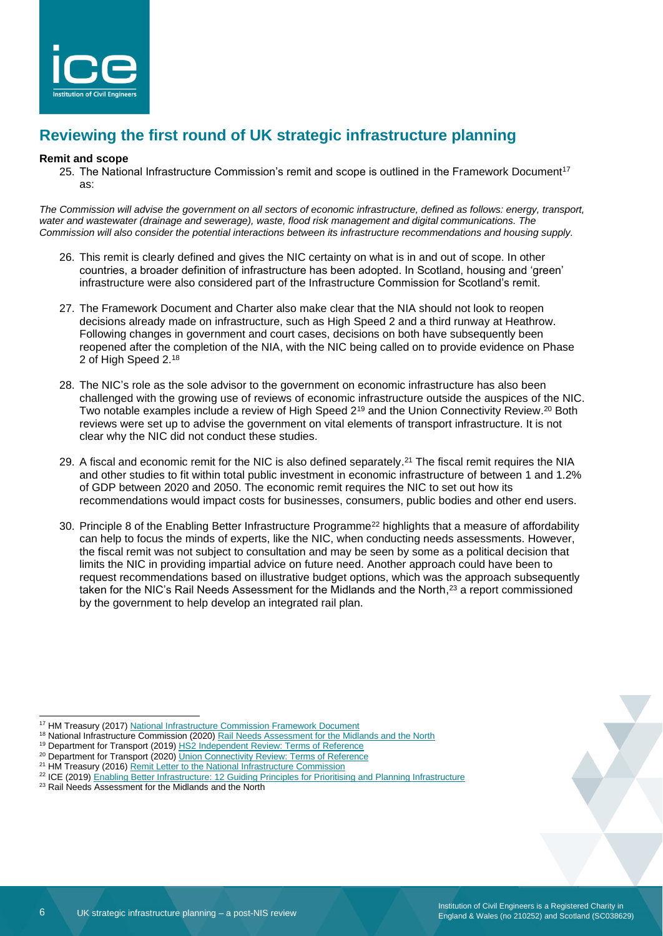

# **Reviewing the first round of UK strategic infrastructure planning**

#### **Remit and scope**

25. The National Infrastructure Commission's remit and scope is outlined in the Framework Document<sup>17</sup> as:

*The Commission will advise the government on all sectors of economic infrastructure, defined as follows: energy, transport, water and wastewater (drainage and sewerage), waste, flood risk management and digital communications. The Commission will also consider the potential interactions between its infrastructure recommendations and housing supply.*

- 26. This remit is clearly defined and gives the NIC certainty on what is in and out of scope. In other countries, a broader definition of infrastructure has been adopted. In Scotland, housing and 'green' infrastructure were also considered part of the Infrastructure Commission for Scotland's remit.
- 27. The Framework Document and Charter also make clear that the NIA should not look to reopen decisions already made on infrastructure, such as High Speed 2 and a third runway at Heathrow. Following changes in government and court cases, decisions on both have subsequently been reopened after the completion of the NIA, with the NIC being called on to provide evidence on Phase 2 of High Speed 2.<sup>18</sup>
- 28. The NIC's role as the sole advisor to the government on economic infrastructure has also been challenged with the growing use of reviews of economic infrastructure outside the auspices of the NIC. Two notable examples include a review of High Speed 2<sup>19</sup> and the Union Connectivity Review.<sup>20</sup> Both reviews were set up to advise the government on vital elements of transport infrastructure. It is not clear why the NIC did not conduct these studies.
- 29. A fiscal and economic remit for the NIC is also defined separately.<sup>21</sup> The fiscal remit requires the NIA and other studies to fit within total public investment in economic infrastructure of between 1 and 1.2% of GDP between 2020 and 2050. The economic remit requires the NIC to set out how its recommendations would impact costs for businesses, consumers, public bodies and other end users.
- 30. Principle 8 of the Enabling Better Infrastructure Programme<sup>22</sup> highlights that a measure of affordability can help to focus the minds of experts, like the NIC, when conducting needs assessments. However, the fiscal remit was not subject to consultation and may be seen by some as a political decision that limits the NIC in providing impartial advice on future need. Another approach could have been to request recommendations based on illustrative budget options, which was the approach subsequently taken for the NIC's Rail Needs Assessment for the Midlands and the North, $^{23}$  a report commissioned by the government to help develop an integrated rail plan.

<sup>23</sup> Rail Needs Assessment for the Midlands and the North

<sup>&</sup>lt;sup>17</sup> HM Treasury (2017) [National Infrastructure Commission Framework Document](https://assets.publishing.service.gov.uk/government/uploads/system/uploads/attachment_data/file/585374/NIC_framework_document_web.pdf)

<sup>&</sup>lt;sup>18</sup> National Infrastructure Commission (2020[\) Rail Needs Assessment for the Midlands and the North](https://nic.org.uk/studies-reports/rail-needs-assessment-for-the-midlands-and-the-north/)

<sup>&</sup>lt;sup>19</sup> Department for Transport (2019[\) HS2 Independent Review: Terms of Reference](https://www.gov.uk/government/publications/hs2-independent-review-terms-of-reference)

<sup>&</sup>lt;sup>20</sup> Department for Transport (2020) *Union Connectivity Review: Terms of Reference* 

<sup>&</sup>lt;sup>21</sup> HM Treasury (2016) [Remit Letter to the National Infrastructure Commission](https://www.gov.uk/government/publications/remit-letter-to-the-national-infrastructure-commission)

<sup>&</sup>lt;sup>22</sup> ICE (2019) [Enabling Better Infrastructure: 12 Guiding Principles for Prioritising and Planning Infrastructure](https://www.ice.org.uk/ICEDevelopmentWebPortal/media/Documents/Media/ice-enabling-better-infrastructure-report.pdf)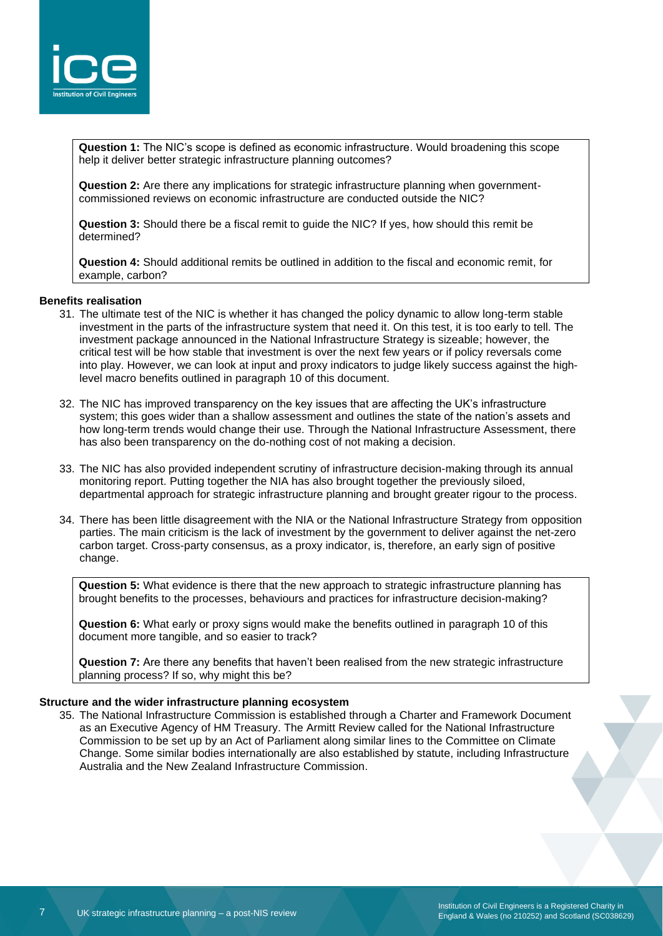

**Question 1:** The NIC's scope is defined as economic infrastructure. Would broadening this scope help it deliver better strategic infrastructure planning outcomes?

**Question 2:** Are there any implications for strategic infrastructure planning when governmentcommissioned reviews on economic infrastructure are conducted outside the NIC?

**Question 3:** Should there be a fiscal remit to guide the NIC? If yes, how should this remit be determined?

**Question 4:** Should additional remits be outlined in addition to the fiscal and economic remit, for example, carbon?

#### **Benefits realisation**

- 31. The ultimate test of the NIC is whether it has changed the policy dynamic to allow long-term stable investment in the parts of the infrastructure system that need it. On this test, it is too early to tell. The investment package announced in the National Infrastructure Strategy is sizeable; however, the critical test will be how stable that investment is over the next few years or if policy reversals come into play. However, we can look at input and proxy indicators to judge likely success against the highlevel macro benefits outlined in paragraph 10 of this document.
- 32. The NIC has improved transparency on the key issues that are affecting the UK's infrastructure system; this goes wider than a shallow assessment and outlines the state of the nation's assets and how long-term trends would change their use. Through the National Infrastructure Assessment, there has also been transparency on the do-nothing cost of not making a decision.
- 33. The NIC has also provided independent scrutiny of infrastructure decision-making through its annual monitoring report. Putting together the NIA has also brought together the previously siloed, departmental approach for strategic infrastructure planning and brought greater rigour to the process.
- 34. There has been little disagreement with the NIA or the National Infrastructure Strategy from opposition parties. The main criticism is the lack of investment by the government to deliver against the net-zero carbon target. Cross-party consensus, as a proxy indicator, is, therefore, an early sign of positive change.

**Question 5:** What evidence is there that the new approach to strategic infrastructure planning has brought benefits to the processes, behaviours and practices for infrastructure decision-making?

**Question 6:** What early or proxy signs would make the benefits outlined in paragraph 10 of this document more tangible, and so easier to track?

**Question 7:** Are there any benefits that haven't been realised from the new strategic infrastructure planning process? If so, why might this be?

#### **Structure and the wider infrastructure planning ecosystem**

35. The National Infrastructure Commission is established through a Charter and Framework Document as an Executive Agency of HM Treasury. The Armitt Review called for the National Infrastructure Commission to be set up by an Act of Parliament along similar lines to the Committee on Climate Change. Some similar bodies internationally are also established by statute, including Infrastructure Australia and the New Zealand Infrastructure Commission.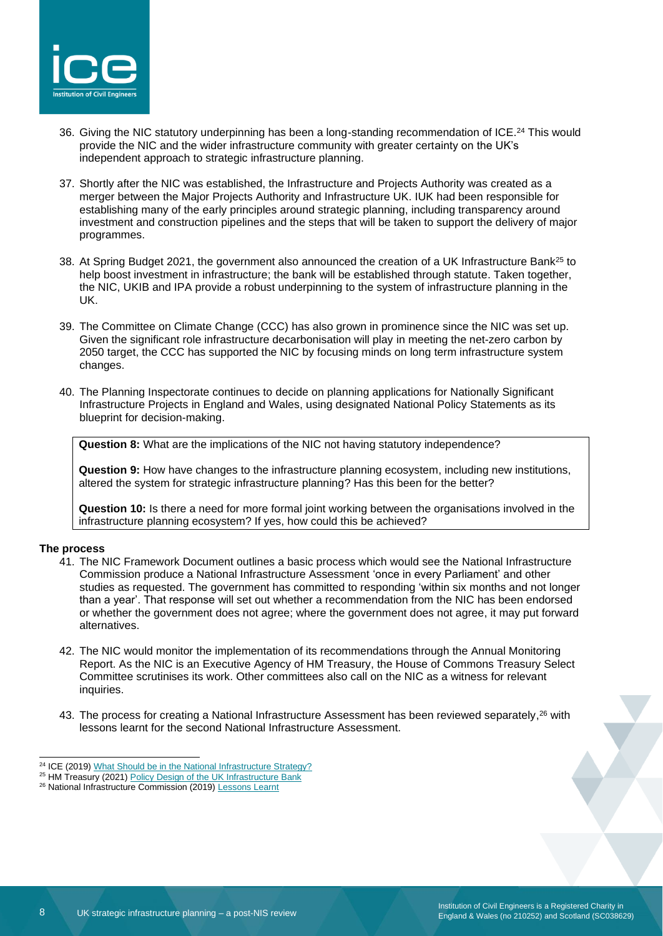

- 36. Giving the NIC statutory underpinning has been a long-standing recommendation of ICE. <sup>24</sup> This would provide the NIC and the wider infrastructure community with greater certainty on the UK's independent approach to strategic infrastructure planning.
- 37. Shortly after the NIC was established, the Infrastructure and Projects Authority was created as a merger between the Major Projects Authority and Infrastructure UK. IUK had been responsible for establishing many of the early principles around strategic planning, including transparency around investment and construction pipelines and the steps that will be taken to support the delivery of major programmes.
- 38. At Spring Budget 2021, the government also announced the creation of a UK Infrastructure Bank<sup>25</sup> to help boost investment in infrastructure; the bank will be established through statute. Taken together, the NIC, UKIB and IPA provide a robust underpinning to the system of infrastructure planning in the UK.
- 39. The Committee on Climate Change (CCC) has also grown in prominence since the NIC was set up. Given the significant role infrastructure decarbonisation will play in meeting the net-zero carbon by 2050 target, the CCC has supported the NIC by focusing minds on long term infrastructure system changes.
- 40. The Planning Inspectorate continues to decide on planning applications for Nationally Significant Infrastructure Projects in England and Wales, using designated National Policy Statements as its blueprint for decision-making.

**Question 8:** What are the implications of the NIC not having statutory independence?

**Question 9:** How have changes to the infrastructure planning ecosystem, including new institutions, altered the system for strategic infrastructure planning? Has this been for the better?

**Question 10:** Is there a need for more formal joint working between the organisations involved in the infrastructure planning ecosystem? If yes, how could this be achieved?

#### **The process**

- 41. The NIC Framework Document outlines a basic process which would see the National Infrastructure Commission produce a National Infrastructure Assessment 'once in every Parliament' and other studies as requested. The government has committed to responding 'within six months and not longer than a year'. That response will set out whether a recommendation from the NIC has been endorsed or whether the government does not agree; where the government does not agree, it may put forward alternatives.
- 42. The NIC would monitor the implementation of its recommendations through the Annual Monitoring Report. As the NIC is an Executive Agency of HM Treasury, the House of Commons Treasury Select Committee scrutinises its work. Other committees also call on the NIC as a witness for relevant inquiries.
- 43. The process for creating a National Infrastructure Assessment has been reviewed separately,<sup>26</sup> with lessons learnt for the second National Infrastructure Assessment.

<sup>&</sup>lt;sup>24</sup> ICE (2019) [What Should be in the National Infrastructure Strategy?](https://www.ice.org.uk/news-and-insight/policy/what-should-national-infrastructure-strategy)

<sup>&</sup>lt;sup>25</sup> HM Treasury (2021) [Policy Design of the UK Infrastructure Bank](https://www.gov.uk/government/publications/policy-design-of-the-uk-infrastructure-bank)

<sup>26</sup> National Infrastructure Commission (2019[\) Lessons Learnt](https://nic.org.uk/app/uploads/Final-NIA-Lessons-Learned-March-2019.pdf)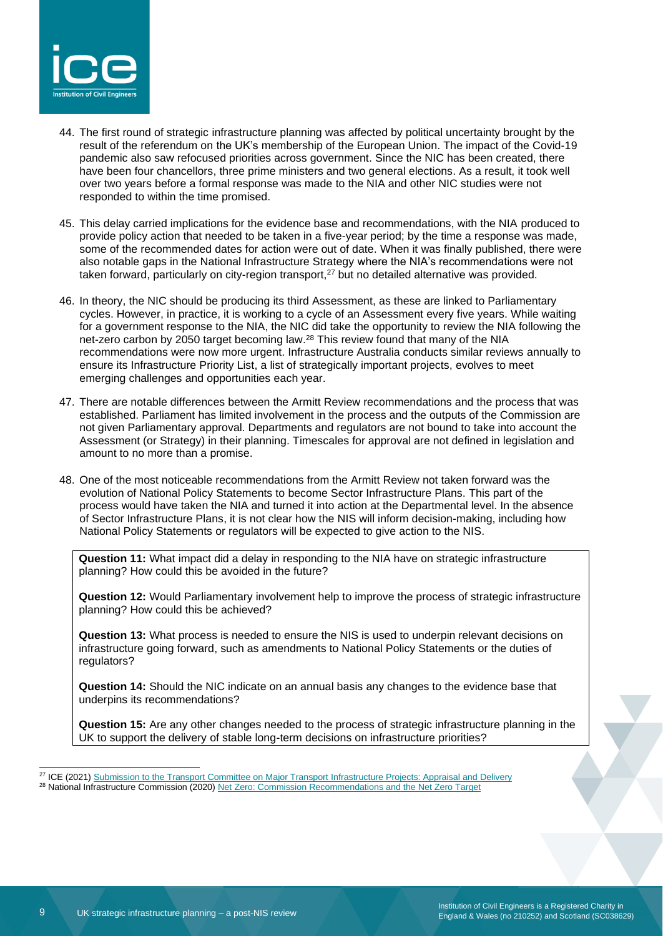

- 44. The first round of strategic infrastructure planning was affected by political uncertainty brought by the result of the referendum on the UK's membership of the European Union. The impact of the Covid-19 pandemic also saw refocused priorities across government. Since the NIC has been created, there have been four chancellors, three prime ministers and two general elections. As a result, it took well over two years before a formal response was made to the NIA and other NIC studies were not responded to within the time promised.
- 45. This delay carried implications for the evidence base and recommendations, with the NIA produced to provide policy action that needed to be taken in a five-year period; by the time a response was made, some of the recommended dates for action were out of date. When it was finally published, there were also notable gaps in the National Infrastructure Strategy where the NIA's recommendations were not taken forward, particularly on city-region transport,<sup>27</sup> but no detailed alternative was provided.
- 46. In theory, the NIC should be producing its third Assessment, as these are linked to Parliamentary cycles. However, in practice, it is working to a cycle of an Assessment every five years. While waiting for a government response to the NIA, the NIC did take the opportunity to review the NIA following the net-zero carbon by 2050 target becoming law.<sup>28</sup> This review found that many of the NIA recommendations were now more urgent. Infrastructure Australia conducts similar reviews annually to ensure its Infrastructure Priority List, a list of strategically important projects, evolves to meet emerging challenges and opportunities each year.
- 47. There are notable differences between the Armitt Review recommendations and the process that was established. Parliament has limited involvement in the process and the outputs of the Commission are not given Parliamentary approval. Departments and regulators are not bound to take into account the Assessment (or Strategy) in their planning. Timescales for approval are not defined in legislation and amount to no more than a promise.
- 48. One of the most noticeable recommendations from the Armitt Review not taken forward was the evolution of National Policy Statements to become Sector Infrastructure Plans. This part of the process would have taken the NIA and turned it into action at the Departmental level. In the absence of Sector Infrastructure Plans, it is not clear how the NIS will inform decision-making, including how National Policy Statements or regulators will be expected to give action to the NIS.

**Question 11:** What impact did a delay in responding to the NIA have on strategic infrastructure planning? How could this be avoided in the future?

**Question 12:** Would Parliamentary involvement help to improve the process of strategic infrastructure planning? How could this be achieved?

**Question 13:** What process is needed to ensure the NIS is used to underpin relevant decisions on infrastructure going forward, such as amendments to National Policy Statements or the duties of regulators?

**Question 14:** Should the NIC indicate on an annual basis any changes to the evidence base that underpins its recommendations?

**Question 15:** Are any other changes needed to the process of strategic infrastructure planning in the UK to support the delivery of stable long-term decisions on infrastructure priorities?

<sup>&</sup>lt;sup>27</sup> ICE (2021) [Submission to the Transport Committee on Major Transport Infrastructure Projects: Appraisal and Delivery](https://www.ice.org.uk/news-and-insight/policy/ice-submission-transport-appraisal-delivery) <sup>28</sup> National Infrastructure Commission (2020[\) Net Zero: Commission Recommendations and the Net Zero Target](https://nic.org.uk/studies-reports/net-zero-commission-recommendations-and-the-net-zero-target/)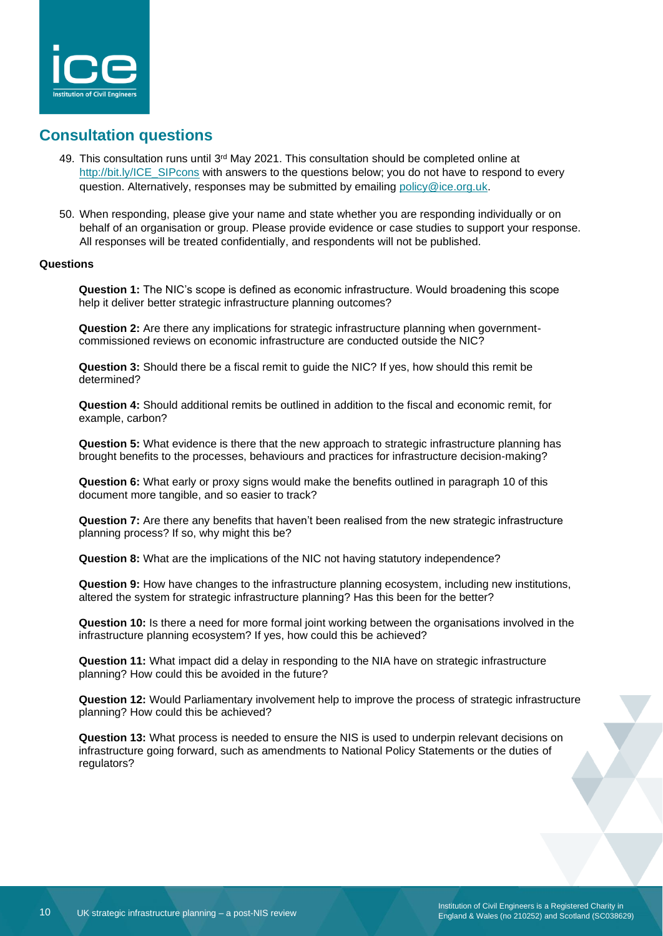

## **Consultation questions**

- 49. This consultation runs until 3<sup>rd</sup> May 2021. This consultation should be completed online at [http://bit.ly/ICE\\_SIPcons](http://bit.ly/ICE_SIPcons) with answers to the questions below; you do not have to respond to every question. Alternatively, responses may be submitted by emailing [policy@ice.org.uk.](mailto:policy@ice.org.uk)
- 50. When responding, please give your name and state whether you are responding individually or on behalf of an organisation or group. Please provide evidence or case studies to support your response. All responses will be treated confidentially, and respondents will not be published.

#### **Questions**

**Question 1:** The NIC's scope is defined as economic infrastructure. Would broadening this scope help it deliver better strategic infrastructure planning outcomes?

**Question 2:** Are there any implications for strategic infrastructure planning when governmentcommissioned reviews on economic infrastructure are conducted outside the NIC?

**Question 3:** Should there be a fiscal remit to guide the NIC? If yes, how should this remit be determined?

**Question 4:** Should additional remits be outlined in addition to the fiscal and economic remit, for example, carbon?

**Question 5:** What evidence is there that the new approach to strategic infrastructure planning has brought benefits to the processes, behaviours and practices for infrastructure decision-making?

**Question 6:** What early or proxy signs would make the benefits outlined in paragraph 10 of this document more tangible, and so easier to track?

**Question 7:** Are there any benefits that haven't been realised from the new strategic infrastructure planning process? If so, why might this be?

**Question 8:** What are the implications of the NIC not having statutory independence?

**Question 9:** How have changes to the infrastructure planning ecosystem, including new institutions, altered the system for strategic infrastructure planning? Has this been for the better?

**Question 10:** Is there a need for more formal joint working between the organisations involved in the infrastructure planning ecosystem? If yes, how could this be achieved?

**Question 11:** What impact did a delay in responding to the NIA have on strategic infrastructure planning? How could this be avoided in the future?

**Question 12:** Would Parliamentary involvement help to improve the process of strategic infrastructure planning? How could this be achieved?

**Question 13:** What process is needed to ensure the NIS is used to underpin relevant decisions on infrastructure going forward, such as amendments to National Policy Statements or the duties of regulators?